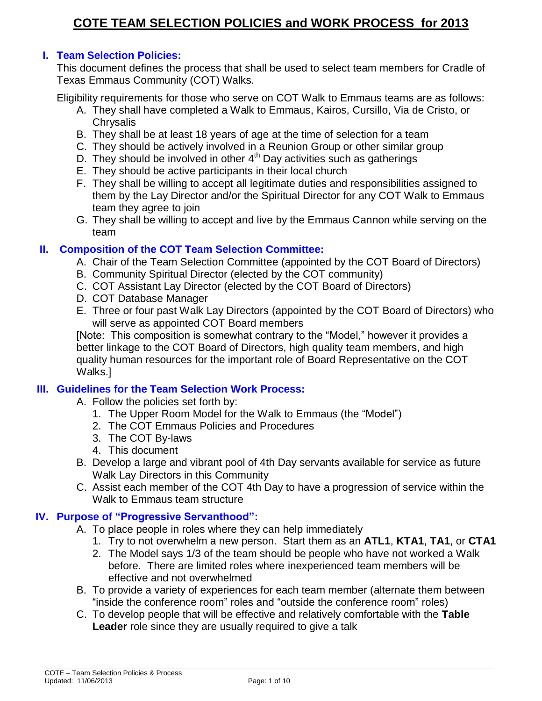## **I. Team Selection Policies:**

This document defines the process that shall be used to select team members for Cradle of Texas Emmaus Community (COT) Walks.

Eligibility requirements for those who serve on COT Walk to Emmaus teams are as follows:

- A. They shall have completed a Walk to Emmaus, Kairos, Cursillo, Via de Cristo, or **Chrysalis**
- B. They shall be at least 18 years of age at the time of selection for a team
- C. They should be actively involved in a Reunion Group or other similar group
- D. They should be involved in other 4<sup>th</sup> Day activities such as gatherings
- E. They should be active participants in their local church
- F. They shall be willing to accept all legitimate duties and responsibilities assigned to them by the Lay Director and/or the Spiritual Director for any COT Walk to Emmaus team they agree to join
- G. They shall be willing to accept and live by the Emmaus Cannon while serving on the team

### **II. Composition of the COT Team Selection Committee:**

- A. Chair of the Team Selection Committee (appointed by the COT Board of Directors)
- B. Community Spiritual Director (elected by the COT community)
- C. COT Assistant Lay Director (elected by the COT Board of Directors)
- D. COT Database Manager
- E. Three or four past Walk Lay Directors (appointed by the COT Board of Directors) who will serve as appointed COT Board members

[Note: This composition is somewhat contrary to the "Model," however it provides a better linkage to the COT Board of Directors, high quality team members, and high quality human resources for the important role of Board Representative on the COT Walks.]

## **III. Guidelines for the Team Selection Work Process:**

- A. Follow the policies set forth by:
	- 1. The Upper Room Model for the Walk to Emmaus (the "Model")
	- 2. The COT Emmaus Policies and Procedures
	- 3. The COT By-laws
	- 4. This document
- B. Develop a large and vibrant pool of 4th Day servants available for service as future Walk Lay Directors in this Community
- C. Assist each member of the COT 4th Day to have a progression of service within the Walk to Emmaus team structure

### **IV. Purpose of "Progressive Servanthood":**

- A. To place people in roles where they can help immediately
	- 1. Try to not overwhelm a new person. Start them as an **ATL1**, **KTA1**, **TA1**, or **CTA1**
	- 2. The Model says 1/3 of the team should be people who have not worked a Walk before. There are limited roles where inexperienced team members will be effective and not overwhelmed
- B. To provide a variety of experiences for each team member (alternate them between "inside the conference room" roles and "outside the conference room" roles)
- C. To develop people that will be effective and relatively comfortable with the **Table Leader** role since they are usually required to give a talk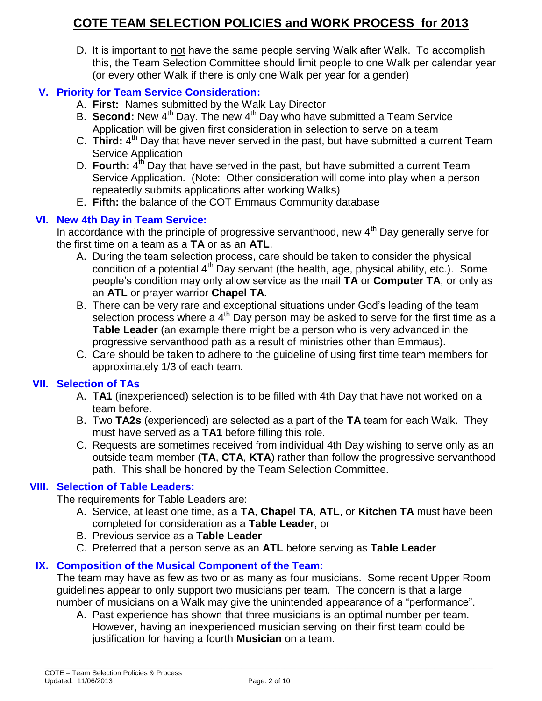D. It is important to not have the same people serving Walk after Walk. To accomplish this, the Team Selection Committee should limit people to one Walk per calendar year (or every other Walk if there is only one Walk per year for a gender)

# **V. Priority for Team Service Consideration:**

- A. **First:** Names submitted by the Walk Lay Director
- B. Second: New 4<sup>th</sup> Day. The new 4<sup>th</sup> Day who have submitted a Team Service Application will be given first consideration in selection to serve on a team
- C. Third: 4<sup>th</sup> Day that have never served in the past, but have submitted a current Team Service Application
- D. Fourth: 4<sup>th'</sup> Day that have served in the past, but have submitted a current Team Service Application. (Note: Other consideration will come into play when a person repeatedly submits applications after working Walks)
- E. **Fifth:** the balance of the COT Emmaus Community database

### **VI. New 4th Day in Team Service:**

In accordance with the principle of progressive servanthood, new 4<sup>th</sup> Day generally serve for the first time on a team as a **TA** or as an **ATL**.

- A. During the team selection process, care should be taken to consider the physical condition of a potential  $4<sup>th</sup>$  Day servant (the health, age, physical ability, etc.). Some people's condition may only allow service as the mail **TA** or **Computer TA**, or only as an **ATL** or prayer warrior **Chapel TA**.
- B. There can be very rare and exceptional situations under God's leading of the team selection process where a  $4<sup>th</sup>$  Day person may be asked to serve for the first time as a **Table Leader** (an example there might be a person who is very advanced in the progressive servanthood path as a result of ministries other than Emmaus).
- C. Care should be taken to adhere to the guideline of using first time team members for approximately 1/3 of each team.

## **VII. Selection of TAs**

- A. **TA1** (inexperienced) selection is to be filled with 4th Day that have not worked on a team before.
- B. Two **TA2s** (experienced) are selected as a part of the **TA** team for each Walk. They must have served as a **TA1** before filling this role.
- C. Requests are sometimes received from individual 4th Day wishing to serve only as an outside team member (**TA**, **CTA**, **KTA**) rather than follow the progressive servanthood path. This shall be honored by the Team Selection Committee.

### **VIII. Selection of Table Leaders:**

The requirements for Table Leaders are:

- A. Service, at least one time, as a **TA**, **Chapel TA**, **ATL**, or **Kitchen TA** must have been completed for consideration as a **Table Leader**, or
- B. Previous service as a **Table Leader**
- C. Preferred that a person serve as an **ATL** before serving as **Table Leader**

## **IX. Composition of the Musical Component of the Team:**

The team may have as few as two or as many as four musicians. Some recent Upper Room guidelines appear to only support two musicians per team. The concern is that a large number of musicians on a Walk may give the unintended appearance of a "performance".

A. Past experience has shown that three musicians is an optimal number per team. However, having an inexperienced musician serving on their first team could be justification for having a fourth **Musician** on a team.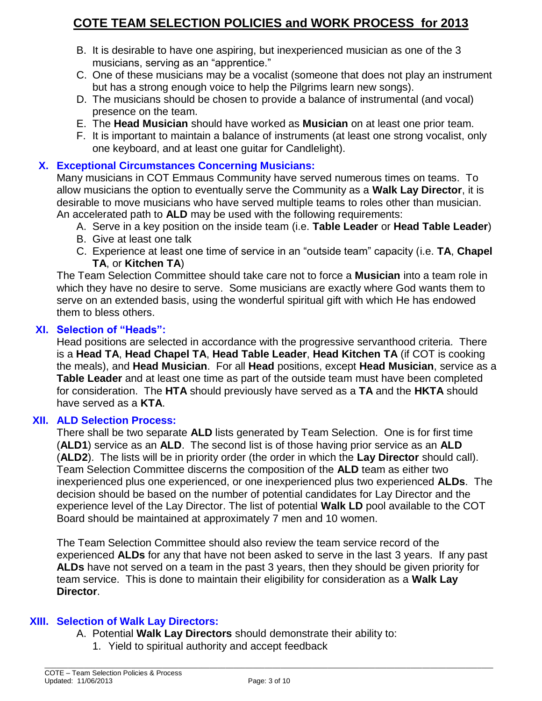- B. It is desirable to have one aspiring, but inexperienced musician as one of the 3 musicians, serving as an "apprentice."
- C. One of these musicians may be a vocalist (someone that does not play an instrument but has a strong enough voice to help the Pilgrims learn new songs).
- D. The musicians should be chosen to provide a balance of instrumental (and vocal) presence on the team.
- E. The **Head Musician** should have worked as **Musician** on at least one prior team.
- F. It is important to maintain a balance of instruments (at least one strong vocalist, only one keyboard, and at least one guitar for Candlelight).

## **X. Exceptional Circumstances Concerning Musicians:**

Many musicians in COT Emmaus Community have served numerous times on teams. To allow musicians the option to eventually serve the Community as a **Walk Lay Director**, it is desirable to move musicians who have served multiple teams to roles other than musician. An accelerated path to **ALD** may be used with the following requirements:

- A. Serve in a key position on the inside team (i.e. **Table Leader** or **Head Table Leader**)
- B. Give at least one talk
- C. Experience at least one time of service in an "outside team" capacity (i.e. **TA**, **Chapel TA**, or **Kitchen TA**)

The Team Selection Committee should take care not to force a **Musician** into a team role in which they have no desire to serve. Some musicians are exactly where God wants them to serve on an extended basis, using the wonderful spiritual gift with which He has endowed them to bless others.

## **XI. Selection of "Heads":**

Head positions are selected in accordance with the progressive servanthood criteria. There is a **Head TA**, **Head Chapel TA**, **Head Table Leader**, **Head Kitchen TA** (if COT is cooking the meals), and **Head Musician**. For all **Head** positions, except **Head Musician**, service as a **Table Leader** and at least one time as part of the outside team must have been completed for consideration. The **HTA** should previously have served as a **TA** and the **HKTA** should have served as a **KTA**.

### **XII. ALD Selection Process:**

There shall be two separate **ALD** lists generated by Team Selection. One is for first time (**ALD1**) service as an **ALD**. The second list is of those having prior service as an **ALD** (**ALD2**). The lists will be in priority order (the order in which the **Lay Director** should call). Team Selection Committee discerns the composition of the **ALD** team as either two inexperienced plus one experienced, or one inexperienced plus two experienced **ALDs**. The decision should be based on the number of potential candidates for Lay Director and the experience level of the Lay Director. The list of potential **Walk LD** pool available to the COT Board should be maintained at approximately 7 men and 10 women.

The Team Selection Committee should also review the team service record of the experienced **ALDs** for any that have not been asked to serve in the last 3 years. If any past **ALDs** have not served on a team in the past 3 years, then they should be given priority for team service. This is done to maintain their eligibility for consideration as a **Walk Lay Director**.

## **XIII. Selection of Walk Lay Directors:**

- A. Potential **Walk Lay Directors** should demonstrate their ability to:
	- 1. Yield to spiritual authority and accept feedback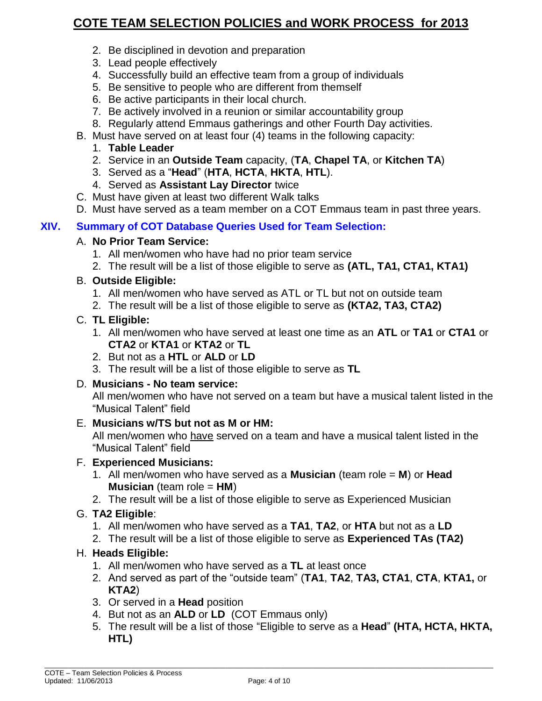- 2. Be disciplined in devotion and preparation
- 3. Lead people effectively
- 4. Successfully build an effective team from a group of individuals
- 5. Be sensitive to people who are different from themself
- 6. Be active participants in their local church.
- 7. Be actively involved in a reunion or similar accountability group
- 8. Regularly attend Emmaus gatherings and other Fourth Day activities.
- B. Must have served on at least four (4) teams in the following capacity:
	- 1. **Table Leader**
	- 2. Service in an **Outside Team** capacity, (**TA**, **Chapel TA**, or **Kitchen TA**)
	- 3. Served as a "**Head**" (**HTA**, **HCTA**, **HKTA**, **HTL**).
	- 4. Served as **Assistant Lay Director** twice
- C. Must have given at least two different Walk talks
- D. Must have served as a team member on a COT Emmaus team in past three years.

## **XIV. Summary of COT Database Queries Used for Team Selection:**

### A. **No Prior Team Service:**

- 1. All men/women who have had no prior team service
- 2. The result will be a list of those eligible to serve as **(ATL, TA1, CTA1, KTA1)**

## B. **Outside Eligible:**

- 1. All men/women who have served as ATL or TL but not on outside team
- 2. The result will be a list of those eligible to serve as **(KTA2, TA3, CTA2)**

### C. **TL Eligible:**

- 1. All men/women who have served at least one time as an **ATL** or **TA1** or **CTA1** or **CTA2** or **KTA1** or **KTA2** or **TL**
- 2. But not as a **HTL** or **ALD** or **LD**
- 3. The result will be a list of those eligible to serve as **TL**

### D. **Musicians - No team service:**

All men/women who have not served on a team but have a musical talent listed in the "Musical Talent" field

### E. **Musicians w/TS but not as M or HM:**

All men/women who have served on a team and have a musical talent listed in the "Musical Talent" field

### F. **Experienced Musicians:**

- 1. All men/women who have served as a **Musician** (team role = **M**) or **Head Musician** (team role = **HM**)
- 2. The result will be a list of those eligible to serve as Experienced Musician

## G. **TA2 Eligible**:

- 1. All men/women who have served as a **TA1**, **TA2**, or **HTA** but not as a **LD**
- 2. The result will be a list of those eligible to serve as **Experienced TAs (TA2)**

## H. **Heads Eligible:**

- 1. All men/women who have served as a **TL** at least once
- 2. And served as part of the "outside team" (**TA1**, **TA2**, **TA3, CTA1**, **CTA**, **KTA1,** or **KTA2**)
- 3. Or served in a **Head** position
- 4. But not as an **ALD** or **LD** (COT Emmaus only)
- 5. The result will be a list of those "Eligible to serve as a **Head**" **(HTA, HCTA, HKTA, HTL)**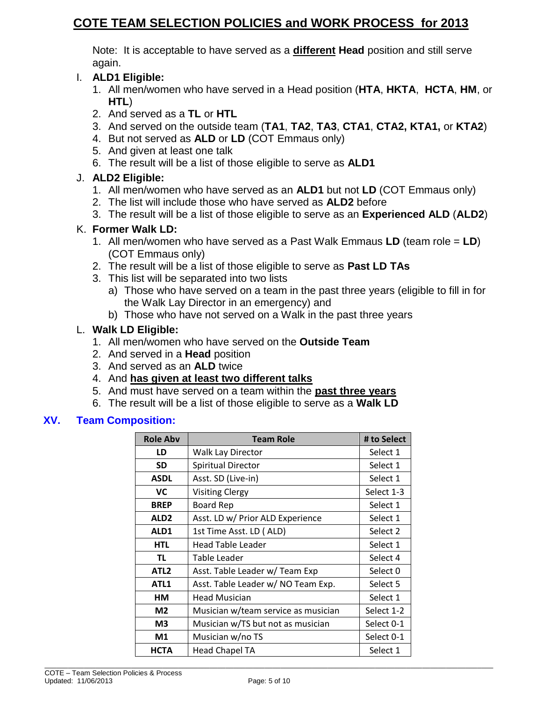Note: It is acceptable to have served as a **different Head** position and still serve again.

## I. **ALD1 Eligible:**

- 1. All men/women who have served in a Head position (**HTA**, **HKTA**, **HCTA**, **HM**, or **HTL**)
- 2. And served as a **TL** or **HTL**
- 3. And served on the outside team (**TA1**, **TA2**, **TA3**, **CTA1**, **CTA2, KTA1,** or **KTA2**)
- 4. But not served as **ALD** or **LD** (COT Emmaus only)
- 5. And given at least one talk
- 6. The result will be a list of those eligible to serve as **ALD1**

# J. **ALD2 Eligible:**

- 1. All men/women who have served as an **ALD1** but not **LD** (COT Emmaus only)
- 2. The list will include those who have served as **ALD2** before
- 3. The result will be a list of those eligible to serve as an **Experienced ALD** (**ALD2**)

## K. **Former Walk LD:**

- 1. All men/women who have served as a Past Walk Emmaus **LD** (team role = **LD**) (COT Emmaus only)
- 2. The result will be a list of those eligible to serve as **Past LD TAs**
- 3. This list will be separated into two lists
	- a) Those who have served on a team in the past three years (eligible to fill in for the Walk Lay Director in an emergency) and
	- b) Those who have not served on a Walk in the past three years

## L. **Walk LD Eligible:**

- 1. All men/women who have served on the **Outside Team**
- 2. And served in a **Head** position
- 3. And served as an **ALD** twice
- 4. And **has given at least two different talks**
- 5. And must have served on a team within the **past three years**
- 6. The result will be a list of those eligible to serve as a **Walk LD**

## **XV. Team Composition:**

| <b>Role Abv</b>  | <b>Team Role</b>                    | # to Select         |
|------------------|-------------------------------------|---------------------|
| LD               | <b>Walk Lay Director</b>            | Select 1            |
| <b>SD</b>        | <b>Spiritual Director</b>           | Select 1            |
| <b>ASDL</b>      | Asst. SD (Live-in)                  | Select 1            |
| <b>VC</b>        | <b>Visiting Clergy</b>              | Select 1-3          |
| <b>BREP</b>      | <b>Board Rep</b>                    | Select 1            |
| ALD <sub>2</sub> | Asst. LD w/ Prior ALD Experience    | Select 1            |
| ALD1             | 1st Time Asst. LD (ALD)             | Select 2            |
| <b>HTL</b>       | <b>Head Table Leader</b>            | Select 1            |
| TL.              | Table Leader                        | Select 4            |
| ATL <sub>2</sub> | Asst. Table Leader w/ Team Exp      | Select <sub>0</sub> |
| ATL1             | Asst. Table Leader w/ NO Team Exp.  | Select 5            |
| HM               | <b>Head Musician</b>                | Select 1            |
| M <sub>2</sub>   | Musician w/team service as musician | Select 1-2          |
| M <sub>3</sub>   | Musician w/TS but not as musician   | Select 0-1          |
| M1               | Musician w/no TS                    | Select 0-1          |
| <b>HCTA</b>      | <b>Head Chapel TA</b>               | Select 1            |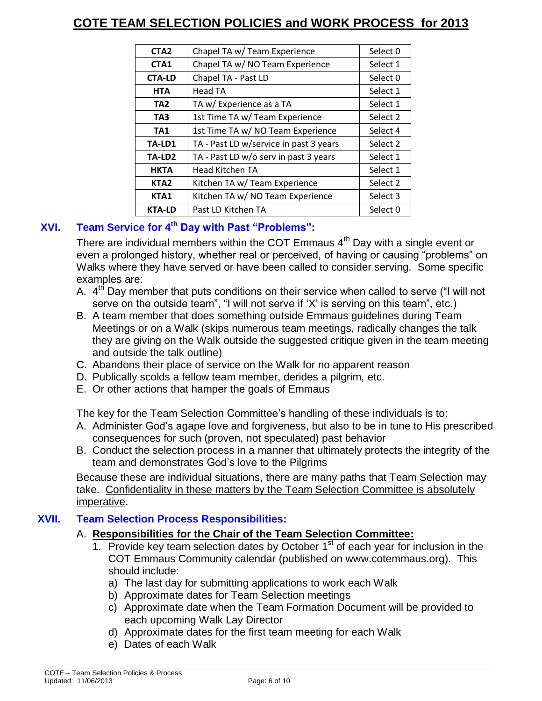| CTA <sub>2</sub>   | Chapel TA w/ Team Experience           | Select 0            |
|--------------------|----------------------------------------|---------------------|
| CTA1               | Chapel TA w/ NO Team Experience        | Select 1            |
| <b>CTA-LD</b>      | Chapel TA - Past LD                    | Select <sub>0</sub> |
| <b>HTA</b>         | Head TA                                | Select 1            |
| TA <sub>2</sub>    | TA w/ Experience as a TA               | Select 1            |
| TA3                | 1st Time TA w/ Team Experience         | Select 2            |
| TA <sub>1</sub>    | 1st Time TA w/ NO Team Experience      | Select 4            |
| TA-LD1             | TA - Past LD w/service in past 3 years | Select 2            |
| TA-LD <sub>2</sub> | TA - Past LD w/o serv in past 3 years  | Select 1            |
| <b>HKTA</b>        | Head Kitchen TA                        | Select 1            |
| KTA <sub>2</sub>   | Kitchen TA w/ Team Experience          | Select 2            |
| KTA1               | Kitchen TA w/ NO Team Experience       | Select 3            |
| <b>KTA-LD</b>      | Past LD Kitchen TA                     | Select 0            |

# **XVI. Team Service for 4th Day with Past "Problems":**

There are individual members within the COT Emmaus  $4<sup>th</sup>$  Day with a single event or even a prolonged history, whether real or perceived, of having or causing "problems" on Walks where they have served or have been called to consider serving. Some specific examples are:

- A. 4<sup>th</sup> Day member that puts conditions on their service when called to serve ("I will not serve on the outside team", "I will not serve if 'X' is serving on this team", etc.)
- B. A team member that does something outside Emmaus guidelines during Team Meetings or on a Walk (skips numerous team meetings, radically changes the talk they are giving on the Walk outside the suggested critique given in the team meeting and outside the talk outline)
- C. Abandons their place of service on the Walk for no apparent reason
- D. Publically scolds a fellow team member, derides a pilgrim, etc.
- E. Or other actions that hamper the goals of Emmaus

The key for the Team Selection Committee's handling of these individuals is to:

- A. Administer God's agape love and forgiveness, but also to be in tune to His prescribed consequences for such (proven, not speculated) past behavior
- B. Conduct the selection process in a manner that ultimately protects the integrity of the team and demonstrates God's love to the Pilgrims

Because these are individual situations, there are many paths that Team Selection may take. Confidentiality in these matters by the Team Selection Committee is absolutely imperative.

## **XVII. Team Selection Process Responsibilities:**

## A. **Responsibilities for the Chair of the Team Selection Committee:**

- 1. Provide key team selection dates by October  $1<sup>st</sup>$  of each year for inclusion in the COT Emmaus Community calendar (published on [www.cotemmaus.org\)](http://www.cotemmaus.org/). This should include:
	- a) The last day for submitting applications to work each Walk
	- b) Approximate dates for Team Selection meetings
	- c) Approximate date when the Team Formation Document will be provided to each upcoming Walk Lay Director
	- d) Approximate dates for the first team meeting for each Walk
	- e) Dates of each Walk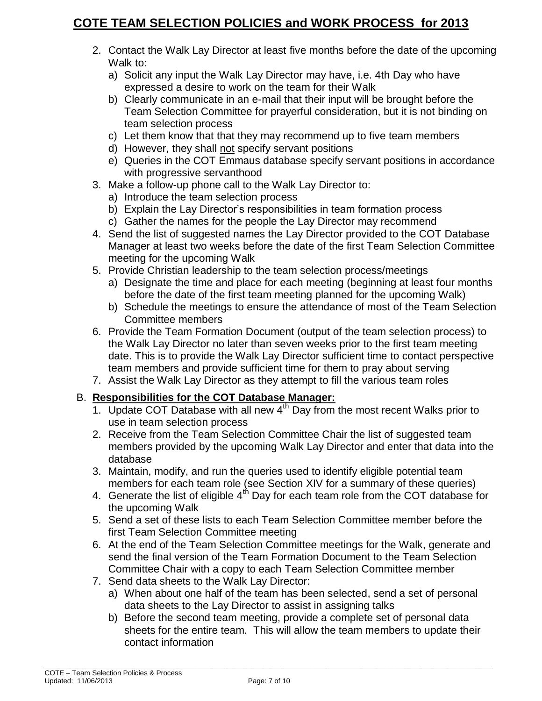- 2. Contact the Walk Lay Director at least five months before the date of the upcoming Walk to:
	- a) Solicit any input the Walk Lay Director may have, i.e. 4th Day who have expressed a desire to work on the team for their Walk
	- b) Clearly communicate in an e-mail that their input will be brought before the Team Selection Committee for prayerful consideration, but it is not binding on team selection process
	- c) Let them know that that they may recommend up to five team members
	- d) However, they shall not specify servant positions
	- e) Queries in the COT Emmaus database specify servant positions in accordance with progressive servanthood
- 3. Make a follow-up phone call to the Walk Lay Director to:
	- a) Introduce the team selection process
	- b) Explain the Lay Director's responsibilities in team formation process
	- c) Gather the names for the people the Lay Director may recommend
- 4. Send the list of suggested names the Lay Director provided to the COT Database Manager at least two weeks before the date of the first Team Selection Committee meeting for the upcoming Walk
- 5. Provide Christian leadership to the team selection process/meetings
	- a) Designate the time and place for each meeting (beginning at least four months before the date of the first team meeting planned for the upcoming Walk)
	- b) Schedule the meetings to ensure the attendance of most of the Team Selection Committee members
- 6. Provide the Team Formation Document (output of the team selection process) to the Walk Lay Director no later than seven weeks prior to the first team meeting date. This is to provide the Walk Lay Director sufficient time to contact perspective team members and provide sufficient time for them to pray about serving
- 7. Assist the Walk Lay Director as they attempt to fill the various team roles

# B. **Responsibilities for the COT Database Manager:**

- 1. Update COT Database with all new  $4<sup>th</sup>$  Day from the most recent Walks prior to use in team selection process
- 2. Receive from the Team Selection Committee Chair the list of suggested team members provided by the upcoming Walk Lay Director and enter that data into the database
- 3. Maintain, modify, and run the queries used to identify eligible potential team members for each team role (see Section XIV for a summary of these queries)
- 4. Generate the list of eligible  $4<sup>th</sup>$  Day for each team role from the COT database for the upcoming Walk
- 5. Send a set of these lists to each Team Selection Committee member before the first Team Selection Committee meeting
- 6. At the end of the Team Selection Committee meetings for the Walk, generate and send the final version of the Team Formation Document to the Team Selection Committee Chair with a copy to each Team Selection Committee member
- 7. Send data sheets to the Walk Lay Director:
	- a) When about one half of the team has been selected, send a set of personal data sheets to the Lay Director to assist in assigning talks
	- b) Before the second team meeting, provide a complete set of personal data sheets for the entire team. This will allow the team members to update their contact information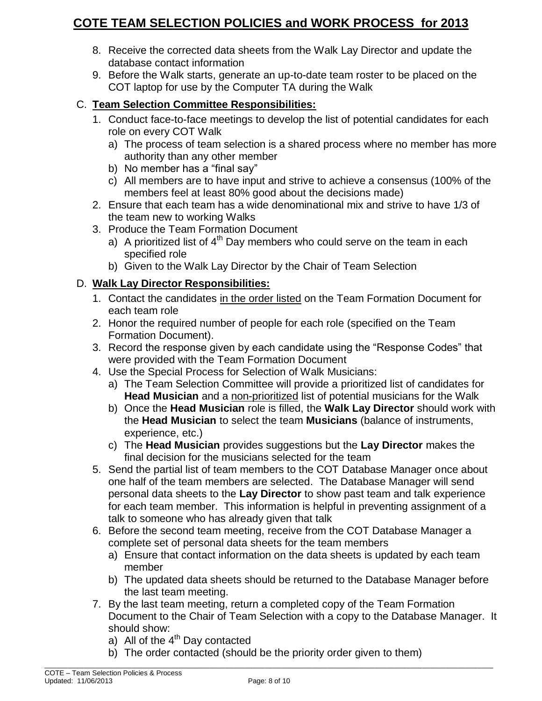- 8. Receive the corrected data sheets from the Walk Lay Director and update the database contact information
- 9. Before the Walk starts, generate an up-to-date team roster to be placed on the COT laptop for use by the Computer TA during the Walk

# C. **Team Selection Committee Responsibilities:**

- 1. Conduct face-to-face meetings to develop the list of potential candidates for each role on every COT Walk
	- a) The process of team selection is a shared process where no member has more authority than any other member
	- b) No member has a "final say"
	- c) All members are to have input and strive to achieve a consensus (100% of the members feel at least 80% good about the decisions made)
- 2. Ensure that each team has a wide denominational mix and strive to have 1/3 of the team new to working Walks
- 3. Produce the Team Formation Document
	- a) A prioritized list of  $4<sup>th</sup>$  Day members who could serve on the team in each specified role
	- b) Given to the Walk Lay Director by the Chair of Team Selection

# D. **Walk Lay Director Responsibilities:**

- 1. Contact the candidates in the order listed on the Team Formation Document for each team role
- 2. Honor the required number of people for each role (specified on the Team Formation Document).
- 3. Record the response given by each candidate using the "Response Codes" that were provided with the Team Formation Document
- 4. Use the Special Process for Selection of Walk Musicians:
	- a) The Team Selection Committee will provide a prioritized list of candidates for **Head Musician** and a non-prioritized list of potential musicians for the Walk
	- b) Once the **Head Musician** role is filled, the **Walk Lay Director** should work with the **Head Musician** to select the team **Musicians** (balance of instruments, experience, etc.)
	- c) The **Head Musician** provides suggestions but the **Lay Director** makes the final decision for the musicians selected for the team
- 5. Send the partial list of team members to the COT Database Manager once about one half of the team members are selected. The Database Manager will send personal data sheets to the **Lay Director** to show past team and talk experience for each team member. This information is helpful in preventing assignment of a talk to someone who has already given that talk
- 6. Before the second team meeting, receive from the COT Database Manager a complete set of personal data sheets for the team members
	- a) Ensure that contact information on the data sheets is updated by each team member
	- b) The updated data sheets should be returned to the Database Manager before the last team meeting.
- 7. By the last team meeting, return a completed copy of the Team Formation Document to the Chair of Team Selection with a copy to the Database Manager. It should show:
	- a) All of the  $4<sup>th</sup>$  Day contacted
	- b) The order contacted (should be the priority order given to them)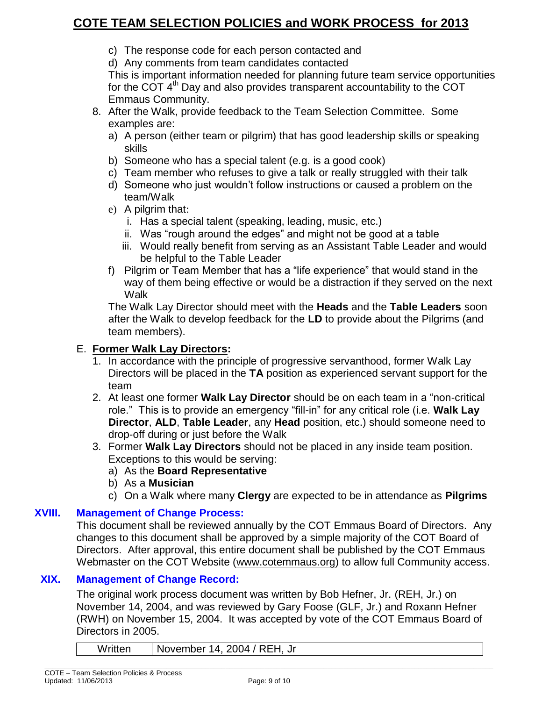- c) The response code for each person contacted and
- d) Any comments from team candidates contacted

This is important information needed for planning future team service opportunities for the COT  $4<sup>th</sup>$  Day and also provides transparent accountability to the COT Emmaus Community.

- 8. After the Walk, provide feedback to the Team Selection Committee. Some examples are:
	- a) A person (either team or pilgrim) that has good leadership skills or speaking skills
	- b) Someone who has a special talent (e.g. is a good cook)
	- c) Team member who refuses to give a talk or really struggled with their talk
	- d) Someone who just wouldn't follow instructions or caused a problem on the team/Walk
	- e) A pilgrim that:
		- i. Has a special talent (speaking, leading, music, etc.)
		- ii. Was "rough around the edges" and might not be good at a table
		- iii. Would really benefit from serving as an Assistant Table Leader and would be helpful to the Table Leader
	- f) Pilgrim or Team Member that has a "life experience" that would stand in the way of them being effective or would be a distraction if they served on the next Walk

The Walk Lay Director should meet with the **Heads** and the **Table Leaders** soon after the Walk to develop feedback for the **LD** to provide about the Pilgrims (and team members).

#### E. **Former Walk Lay Directors:**

- 1. In accordance with the principle of progressive servanthood, former Walk Lay Directors will be placed in the **TA** position as experienced servant support for the team
- 2. At least one former **Walk Lay Director** should be on each team in a "non-critical role." This is to provide an emergency "fill-in" for any critical role (i.e. **Walk Lay Director**, **ALD**, **Table Leader**, any **Head** position, etc.) should someone need to drop-off during or just before the Walk
- 3. Former **Walk Lay Directors** should not be placed in any inside team position. Exceptions to this would be serving:

### a) As the **Board Representative**

- b) As a **Musician**
- c) On a Walk where many **Clergy** are expected to be in attendance as **Pilgrims**

#### **XVIII. Management of Change Process:**

This document shall be reviewed annually by the COT Emmaus Board of Directors. Any changes to this document shall be approved by a simple majority of the COT Board of Directors. After approval, this entire document shall be published by the COT Emmaus Webmaster on the COT Website [\(www.cotemmaus.org\)](http://www.cotemmaus.org/) to allow full Community access.

### **XIX. Management of Change Record:**

The original work process document was written by Bob Hefner, Jr. (REH, Jr.) on November 14, 2004, and was reviewed by Gary Foose (GLF, Jr.) and Roxann Hefner (RWH) on November 15, 2004. It was accepted by vote of the COT Emmaus Board of Directors in 2005.

Written | November 14, 2004 / REH, Jr